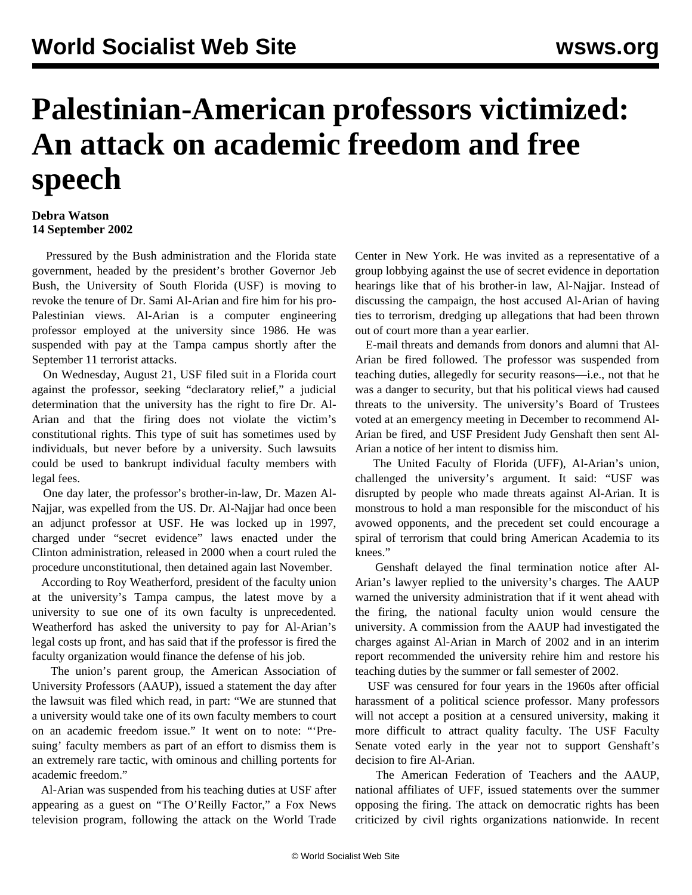## **Palestinian-American professors victimized: An attack on academic freedom and free speech**

## **Debra Watson 14 September 2002**

 Pressured by the Bush administration and the Florida state government, headed by the president's brother Governor Jeb Bush, the University of South Florida (USF) is moving to revoke the tenure of Dr. Sami Al-Arian and fire him for his pro-Palestinian views. Al-Arian is a computer engineering professor employed at the university since 1986. He was suspended with pay at the Tampa campus shortly after the September 11 terrorist attacks.

 On Wednesday, August 21, USF filed suit in a Florida court against the professor, seeking "declaratory relief," a judicial determination that the university has the right to fire Dr. Al-Arian and that the firing does not violate the victim's constitutional rights. This type of suit has sometimes used by individuals, but never before by a university. Such lawsuits could be used to bankrupt individual faculty members with legal fees.

 One day later, the professor's brother-in-law, Dr. Mazen Al-Najjar, was expelled from the US. Dr. Al-Najjar had once been an adjunct professor at USF. He was locked up in 1997, charged under "secret evidence" laws enacted under the Clinton administration, released in 2000 when a court ruled the procedure unconstitutional, then detained again last November.

 According to Roy Weatherford, president of the faculty union at the university's Tampa campus, the latest move by a university to sue one of its own faculty is unprecedented. Weatherford has asked the university to pay for Al-Arian's legal costs up front, and has said that if the professor is fired the faculty organization would finance the defense of his job.

 The union's parent group, the American Association of University Professors (AAUP), issued a statement the day after the lawsuit was filed which read, in part: "We are stunned that a university would take one of its own faculty members to court on an academic freedom issue." It went on to note: "'Presuing' faculty members as part of an effort to dismiss them is an extremely rare tactic, with ominous and chilling portents for academic freedom."

 Al-Arian was suspended from his teaching duties at USF after appearing as a guest on "The O'Reilly Factor," a Fox News television program, following the attack on the World Trade

Center in New York. He was invited as a representative of a group lobbying against the use of secret evidence in deportation hearings like that of his brother-in law, Al-Najjar. Instead of discussing the campaign, the host accused Al-Arian of having ties to terrorism, dredging up allegations that had been thrown out of court more than a year earlier.

 E-mail threats and demands from donors and alumni that Al-Arian be fired followed. The professor was suspended from teaching duties, allegedly for security reasons—i.e., not that he was a danger to security, but that his political views had caused threats to the university. The university's Board of Trustees voted at an emergency meeting in December to recommend Al-Arian be fired, and USF President Judy Genshaft then sent Al-Arian a notice of her intent to dismiss him.

 The United Faculty of Florida (UFF), Al-Arian's union, challenged the university's argument. It said: "USF was disrupted by people who made threats against Al-Arian. It is monstrous to hold a man responsible for the misconduct of his avowed opponents, and the precedent set could encourage a spiral of terrorism that could bring American Academia to its knees."

 Genshaft delayed the final termination notice after Al-Arian's lawyer replied to the university's charges. The AAUP warned the university administration that if it went ahead with the firing, the national faculty union would censure the university. A commission from the AAUP had investigated the charges against Al-Arian in March of 2002 and in an interim report recommended the university rehire him and restore his teaching duties by the summer or fall semester of 2002.

 USF was censured for four years in the 1960s after official harassment of a political science professor. Many professors will not accept a position at a censured university, making it more difficult to attract quality faculty. The USF Faculty Senate voted early in the year not to support Genshaft's decision to fire Al-Arian.

 The American Federation of Teachers and the AAUP, national affiliates of UFF, issued statements over the summer opposing the firing. The attack on democratic rights has been criticized by civil rights organizations nationwide. In recent